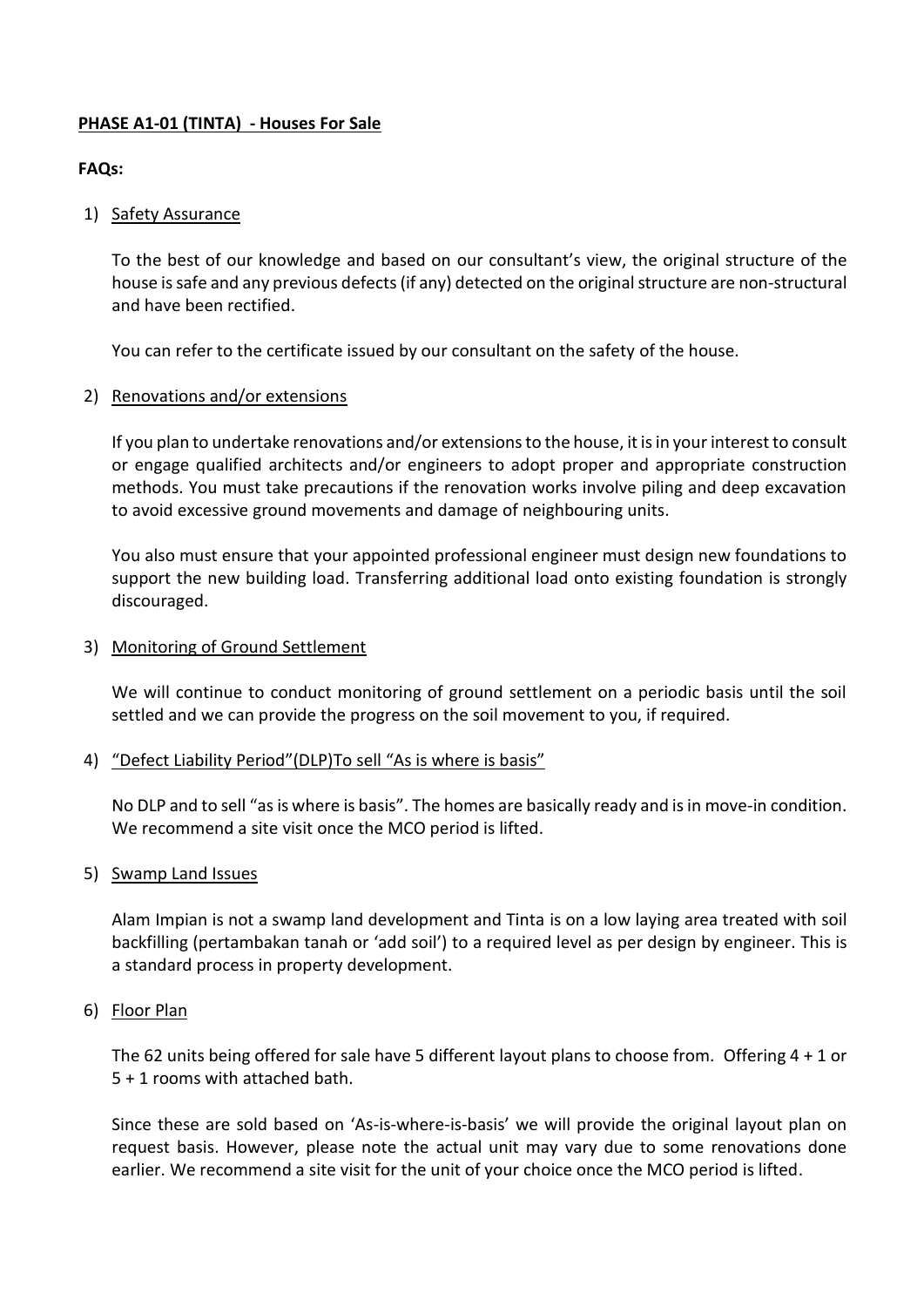## **PHASE A1-01 (TINTA) - Houses For Sale**

### **FAQs:**

### 1) Safety Assurance

To the best of our knowledge and based on our consultant's view, the original structure of the house issafe and any previous defects (if any) detected on the original structure are non-structural and have been rectified.

You can refer to the certificate issued by our consultant on the safety of the house.

#### 2) Renovations and/or extensions

If you plan to undertake renovations and/or extensions to the house, it is in your interest to consult or engage qualified architects and/or engineers to adopt proper and appropriate construction methods. You must take precautions if the renovation works involve piling and deep excavation to avoid excessive ground movements and damage of neighbouring units.

You also must ensure that your appointed professional engineer must design new foundations to support the new building load. Transferring additional load onto existing foundation is strongly discouraged.

#### 3) Monitoring of Ground Settlement

We will continue to conduct monitoring of ground settlement on a periodic basis until the soil settled and we can provide the progress on the soil movement to you, if required.

#### 4) "Defect Liability Period"(DLP)To sell "As is where is basis"

No DLP and to sell "as is where is basis". The homes are basically ready and is in move-in condition. We recommend a site visit once the MCO period is lifted.

#### 5) Swamp Land Issues

Alam Impian is not a swamp land development and Tinta is on a low laying area treated with soil backfilling (pertambakan tanah or 'add soil') to a required level as per design by engineer. This is a standard process in property development.

#### 6) Floor Plan

The 62 units being offered for sale have 5 different layout plans to choose from. Offering 4 + 1 or 5 + 1 rooms with attached bath.

Since these are sold based on 'As-is-where-is-basis' we will provide the original layout plan on request basis. However, please note the actual unit may vary due to some renovations done earlier. We recommend a site visit for the unit of your choice once the MCO period is lifted.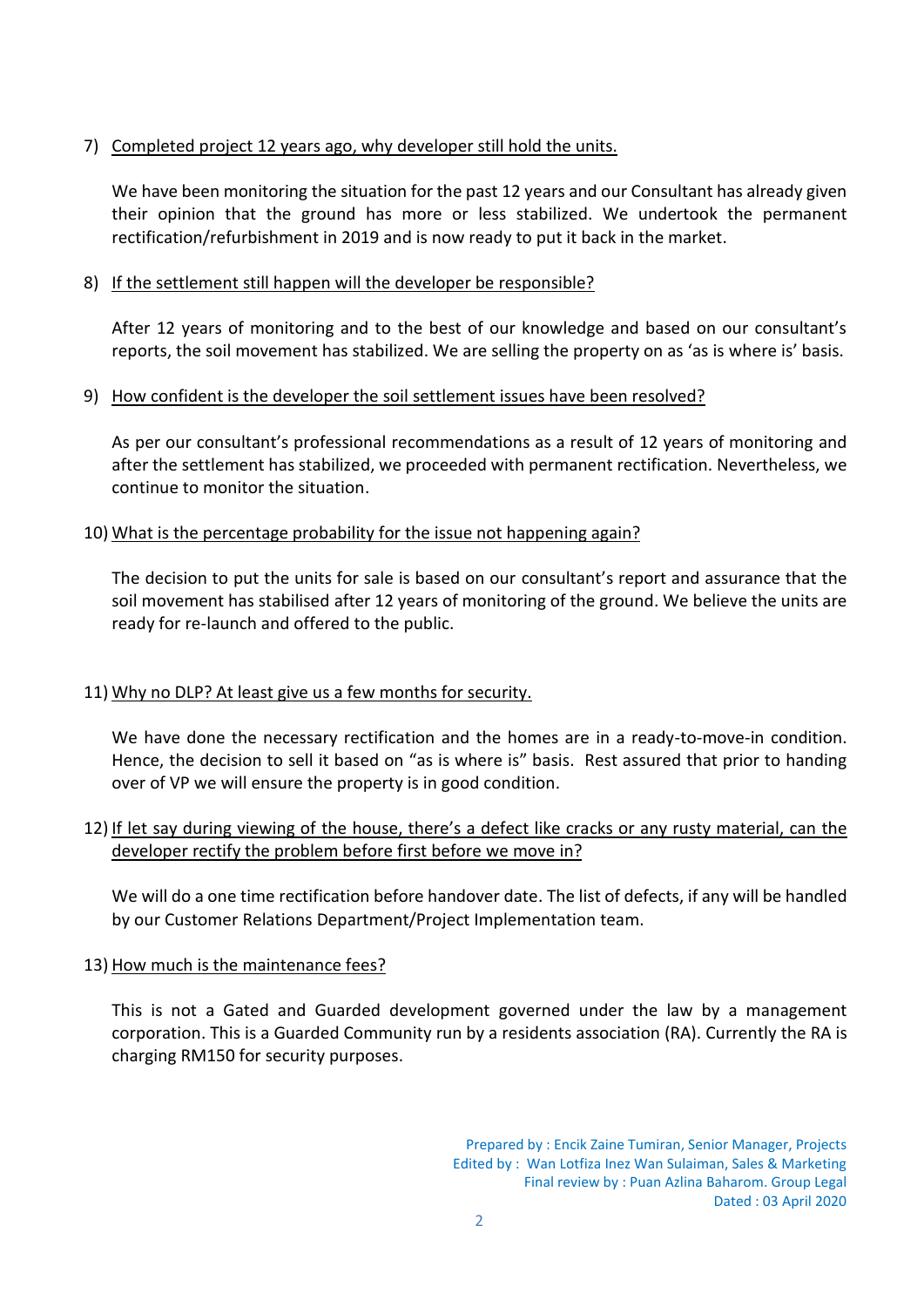## 7) Completed project 12 years ago, why developer still hold the units.

We have been monitoring the situation for the past 12 years and our Consultant has already given their opinion that the ground has more or less stabilized. We undertook the permanent rectification/refurbishment in 2019 and is now ready to put it back in the market.

## 8) If the settlement still happen will the developer be responsible?

After 12 years of monitoring and to the best of our knowledge and based on our consultant's reports, the soil movement has stabilized. We are selling the property on as 'as is where is' basis.

### 9) How confident is the developer the soil settlement issues have been resolved?

As per our consultant's professional recommendations as a result of 12 years of monitoring and after the settlement has stabilized, we proceeded with permanent rectification. Nevertheless, we continue to monitor the situation.

# 10) What is the percentage probability for the issue not happening again?

The decision to put the units for sale is based on our consultant's report and assurance that the soil movement has stabilised after 12 years of monitoring of the ground. We believe the units are ready for re-launch and offered to the public.

# 11) Why no DLP? At least give us a few months for security.

We have done the necessary rectification and the homes are in a ready-to-move-in condition. Hence, the decision to sell it based on "as is where is" basis. Rest assured that prior to handing over of VP we will ensure the property is in good condition.

# 12) If let say during viewing of the house, there's a defect like cracks or any rusty material, can the developer rectify the problem before first before we move in?

We will do a one time rectification before handover date. The list of defects, if any will be handled by our Customer Relations Department/Project Implementation team.

### 13) How much is the maintenance fees?

This is not a Gated and Guarded development governed under the law by a management corporation. This is a Guarded Community run by a residents association (RA). Currently the RA is charging RM150 for security purposes.